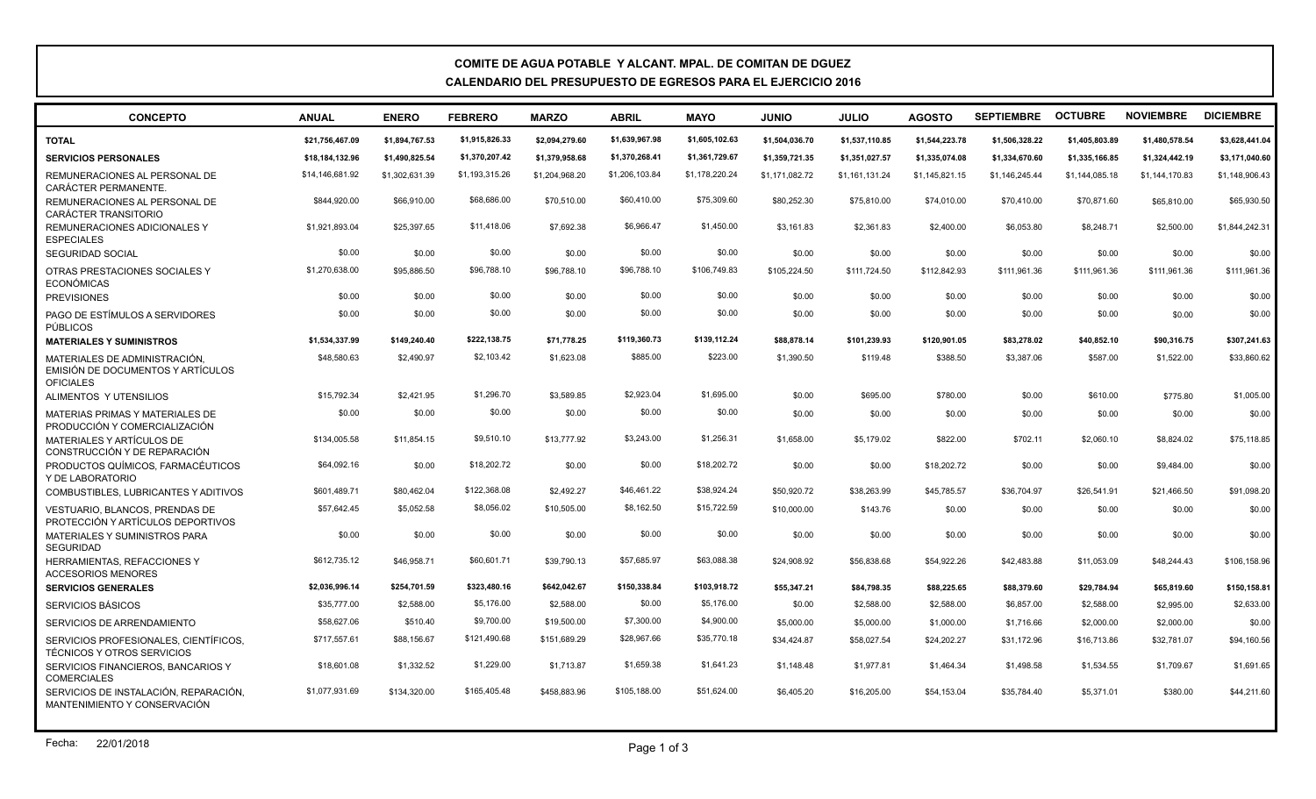## **COMITE DE AGUA POTABLE Y ALCANT. MPAL. DE COMITAN DE DGUEZ CALENDARIO DEL PRESUPUESTO DE EGRESOS PARA EL EJERCICIO 2016**

| <b>CONCEPTO</b>                                                                        | <b>ANUAL</b>    | <b>ENERO</b>   | <b>FEBRERO</b> | <b>MARZO</b>   | <b>ABRIL</b>   | <b>MAYO</b>    | <b>JUNIO</b>   | <b>JULIO</b>   | <b>AGOSTO</b>  | <b>SEPTIEMBRE</b> | <b>OCTUBRE</b> | <b>NOVIEMBRE</b> | <b>DICIEMBRE</b> |
|----------------------------------------------------------------------------------------|-----------------|----------------|----------------|----------------|----------------|----------------|----------------|----------------|----------------|-------------------|----------------|------------------|------------------|
| <b>TOTAL</b>                                                                           | \$21,756,467.09 | \$1,894,767.53 | \$1,915,826.33 | \$2,094,279.60 | \$1,639,967.98 | \$1,605,102.63 | \$1,504,036.70 | \$1,537,110.85 | \$1,544,223.78 | \$1,506,328.22    | \$1,405,803.89 | \$1,480,578.54   | \$3,628,441.04   |
| <b>SERVICIOS PERSONALES</b>                                                            | \$18,184,132.96 | \$1,490,825.54 | \$1,370,207.42 | \$1.379.958.68 | \$1,370,268.41 | \$1,361,729.67 | \$1.359.721.35 | \$1,351,027.57 | \$1.335.074.08 | \$1,334,670.60    | \$1,335,166.85 | \$1,324,442.19   | \$3,171,040.60   |
| REMUNERACIONES AL PERSONAL DE<br>CARÁCTER PERMANENTE.                                  | \$14,146,681.92 | \$1,302,631.39 | \$1,193,315.26 | \$1,204,968.20 | \$1,206,103.84 | \$1,178,220.24 | \$1,171,082.72 | \$1,161,131.24 | \$1,145,821.15 | \$1,146,245.44    | \$1,144,085.18 | \$1,144,170.83   | \$1,148,906.43   |
| REMUNERACIONES AL PERSONAL DE<br><b>CARÁCTER TRANSITORIO</b>                           | \$844,920.00    | \$66,910.00    | \$68,686.00    | \$70,510.00    | \$60,410.00    | \$75,309.60    | \$80,252.30    | \$75,810.00    | \$74,010.00    | \$70,410.00       | \$70,871.60    | \$65,810.00      | \$65,930.50      |
| <b>REMUNERACIONES ADICIONALES Y</b><br><b>ESPECIALES</b>                               | \$1,921,893.04  | \$25,397.65    | \$11,418.06    | \$7,692.38     | \$6,966.47     | \$1,450.00     | \$3,161.83     | \$2,361.83     | \$2,400.00     | \$6,053.80        | \$8,248.71     | \$2,500.00       | \$1,844,242.31   |
| <b>SEGURIDAD SOCIAL</b>                                                                | \$0.00          | \$0.00         | \$0.00         | \$0.00         | \$0.00         | \$0.00         | \$0.00         | \$0.00         | \$0.00         | \$0.00            | \$0.00         | \$0.00           | \$0.00           |
| OTRAS PRESTACIONES SOCIALES Y<br><b>ECONÓMICAS</b>                                     | \$1,270,638.00  | \$95,886.50    | \$96,788.10    | \$96,788.10    | \$96,788.10    | \$106,749.83   | \$105,224.50   | \$111,724.50   | \$112,842.93   | \$111,961.36      | \$111,961.36   | \$111,961.36     | \$111,961.36     |
| <b>PREVISIONES</b>                                                                     | \$0.00          | \$0.00         | \$0.00         | \$0.00         | \$0.00         | \$0.00         | \$0.00         | \$0.00         | \$0.00         | \$0.00            | \$0.00         | \$0.00           | \$0.00           |
| PAGO DE ESTÍMULOS A SERVIDORES<br><b>PÚBLICOS</b>                                      | \$0.00          | \$0.00         | \$0.00         | \$0.00         | \$0.00         | \$0.00         | \$0.00         | \$0.00         | \$0.00         | \$0.00            | \$0.00         | \$0.00           | \$0.00           |
| <b>MATERIALES Y SUMINISTROS</b>                                                        | \$1,534,337.99  | \$149,240.40   | \$222,138.75   | \$71,778.25    | \$119,360.73   | \$139,112.24   | \$88.878.14    | \$101,239.93   | \$120,901.05   | \$83,278.02       | \$40,852.10    | \$90.316.75      | \$307,241.63     |
| MATERIALES DE ADMINISTRACIÓN.<br>EMISIÓN DE DOCUMENTOS Y ARTÍCULOS<br><b>OFICIALES</b> | \$48,580.63     | \$2,490.97     | \$2,103.42     | \$1,623.08     | \$885.00       | \$223.00       | \$1,390.50     | \$119.48       | \$388.50       | \$3,387.06        | \$587.00       | \$1,522.00       | \$33,860.62      |
| ALIMENTOS Y UTENSILIOS                                                                 | \$15,792.34     | \$2.421.95     | \$1,296.70     | \$3,589.85     | \$2,923.04     | \$1,695.00     | \$0.00         | \$695.00       | \$780.00       | \$0.00            | \$610.00       | \$775.80         | \$1,005.00       |
| MATERIAS PRIMAS Y MATERIALES DE<br>PRODUCCIÓN Y COMERCIALIZACIÓN                       | \$0.00          | \$0.00         | \$0.00         | \$0.00         | \$0.00         | \$0.00         | \$0.00         | \$0.00         | \$0.00         | \$0.00            | \$0.00         | \$0.00           | \$0.00           |
| MATERIALES Y ARTÍCULOS DE<br>CONSTRUCCIÓN Y DE REPARACIÓN                              | \$134,005.58    | \$11.854.15    | \$9,510.10     | \$13,777.92    | \$3,243.00     | \$1,256.31     | \$1,658,00     | \$5,179.02     | \$822.00       | \$702.11          | \$2,060.10     | \$8,824.02       | \$75,118.85      |
| PRODUCTOS QUÍMICOS, FARMACÉUTICOS<br>Y DE LABORATORIO                                  | \$64,092.16     | \$0.00         | \$18,202.72    | \$0.00         | \$0.00         | \$18,202.72    | \$0.00         | \$0.00         | \$18,202.72    | \$0.00            | \$0.00         | \$9,484.00       | \$0.00           |
| COMBUSTIBLES, LUBRICANTES Y ADITIVOS                                                   | \$601,489.71    | \$80,462.04    | \$122,368.08   | \$2,492.27     | \$46,461.22    | \$38,924.24    | \$50,920.72    | \$38,263.99    | \$45,785.57    | \$36,704.97       | \$26,541.91    | \$21,466.50      | \$91,098.20      |
| VESTUARIO, BLANCOS, PRENDAS DE<br>PROTECCIÓN Y ARTÍCULOS DEPORTIVOS                    | \$57,642.45     | \$5.052.58     | \$8,056.02     | \$10.505.00    | \$8,162.50     | \$15,722.59    | \$10,000,00    | \$143.76       | \$0.00         | \$0.00            | \$0.00         | \$0.00           | \$0.00           |
| <b>MATERIALES Y SUMINISTROS PARA</b><br><b>SEGURIDAD</b>                               | \$0.00          | \$0.00         | \$0.00         | \$0.00         | \$0.00         | \$0.00         | \$0.00         | \$0.00         | \$0.00         | \$0.00            | \$0.00         | \$0.00           | \$0.00           |
| HERRAMIENTAS, REFACCIONES Y<br><b>ACCESORIOS MENORES</b>                               | \$612,735.12    | \$46,958.71    | \$60,601.71    | \$39,790.13    | \$57,685.97    | \$63,088.38    | \$24.908.92    | \$56,838,68    | \$54,922.26    | \$42,483.88       | \$11.053.09    | \$48,244,43      | \$106,158.96     |
| <b>SERVICIOS GENERALES</b>                                                             | \$2,036,996.14  | \$254,701.59   | \$323,480.16   | \$642,042.67   | \$150,338.84   | \$103,918.72   | \$55,347.21    | \$84,798.35    | \$88,225.65    | \$88,379.60       | \$29,784.94    | \$65,819.60      | \$150,158.81     |
| <b>SERVICIOS BÁSICOS</b>                                                               | \$35,777.00     | \$2,588.00     | \$5,176.00     | \$2,588.00     | \$0.00         | \$5,176.00     | \$0.00         | \$2,588.00     | \$2,588.00     | \$6,857.00        | \$2,588.00     | \$2,995.00       | \$2,633.00       |
| SERVICIOS DE ARRENDAMIENTO                                                             | \$58,627.06     | \$510.40       | \$9,700.00     | \$19,500.00    | \$7,300.00     | \$4,900.00     | \$5,000.00     | \$5,000.00     | \$1,000.00     | \$1,716.66        | \$2,000.00     | \$2,000.00       | \$0.00           |
| SERVICIOS PROFESIONALES, CIENTÍFICOS.<br><b>TÉCNICOS Y OTROS SERVICIOS</b>             | \$717,557.61    | \$88,156.67    | \$121,490.68   | \$151,689.29   | \$28,967.66    | \$35,770.18    | \$34,424.87    | \$58,027.54    | \$24,202.27    | \$31,172.96       | \$16,713.86    | \$32,781.07      | \$94,160.56      |
| SERVICIOS FINANCIEROS, BANCARIOS Y<br><b>COMERCIALES</b>                               | \$18,601.08     | \$1,332.52     | \$1,229.00     | \$1,713.87     | \$1,659.38     | \$1,641.23     | \$1,148.48     | \$1,977.81     | \$1,464.34     | \$1,498.58        | \$1,534.55     | \$1,709.67       | \$1,691.65       |
| SERVICIOS DE INSTALACIÓN, REPARACIÓN,                                                  | \$1,077,931.69  | \$134,320.00   | \$165,405.48   | \$458,883.96   | \$105,188,00   | \$51,624.00    | \$6,405.20     | \$16,205,00    | \$54,153.04    | \$35,784.40       | \$5,371.01     | \$380.00         | \$44,211.60      |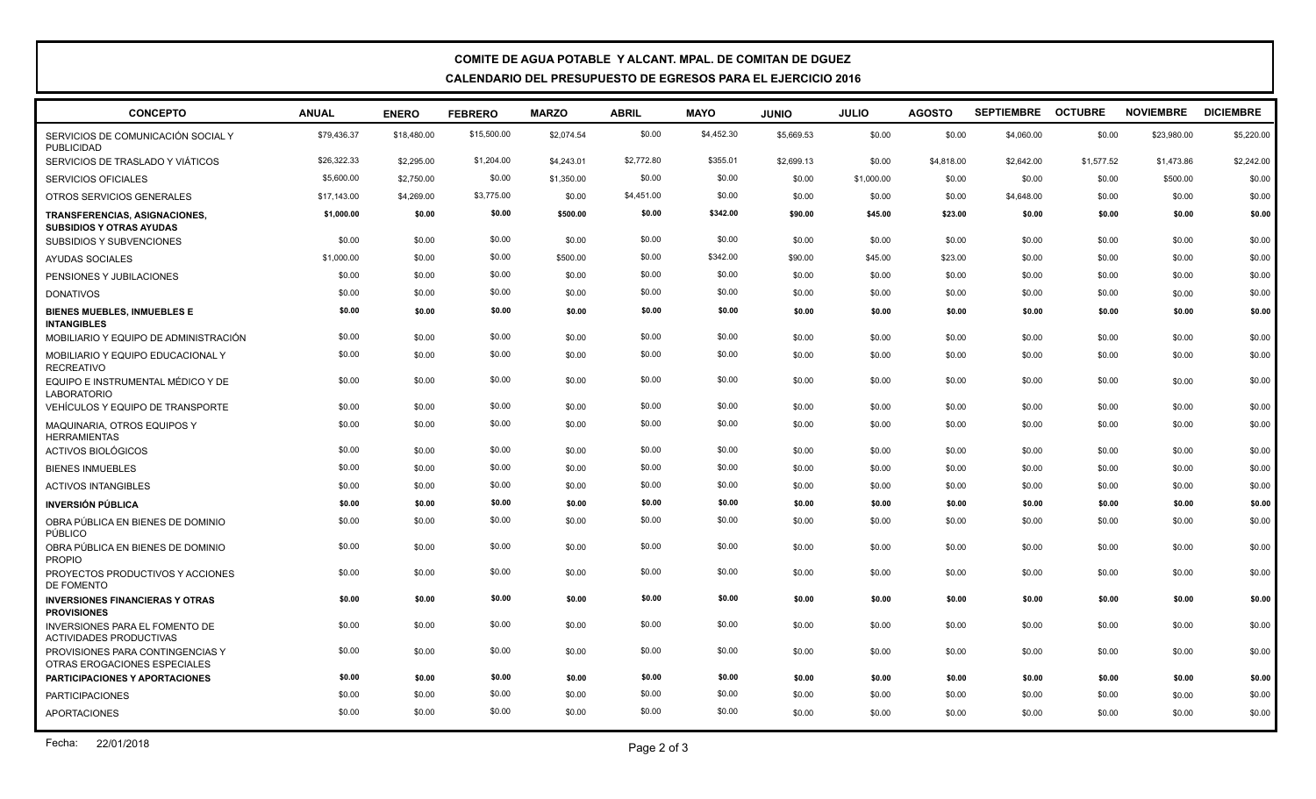## **COMITE DE AGUA POTABLE Y ALCANT. MPAL. DE COMITAN DE DGUEZ CALENDARIO DEL PRESUPUESTO DE EGRESOS PARA EL EJERCICIO 2016**

| <b>CONCEPTO</b>                                                         | <b>ANUAL</b> | <b>ENERO</b> | <b>FEBRERO</b> | <b>MARZO</b> | <b>ABRIL</b> | <b>MAYO</b> | <b>OINIU</b> | <b>JULIO</b> | <b>AGOSTO</b> | SEPTIEMBRE OCTUBRE |            | <b>NOVIEMBRE</b> | <b>DICIEMBRE</b> |
|-------------------------------------------------------------------------|--------------|--------------|----------------|--------------|--------------|-------------|--------------|--------------|---------------|--------------------|------------|------------------|------------------|
| SERVICIOS DE COMUNICACIÓN SOCIAL Y<br><b>PUBLICIDAD</b>                 | \$79,436.37  | \$18,480.00  | \$15,500.00    | \$2,074.54   | \$0.00       | \$4,452.30  | \$5,669.53   | \$0.00       | \$0.00        | \$4,060.00         | \$0.00     | \$23,980.00      | \$5,220.00       |
| SERVICIOS DE TRASLADO Y VIÁTICOS                                        | \$26,322.33  | \$2,295.00   | \$1,204.00     | \$4,243.01   | \$2,772.80   | \$355.01    | \$2,699.13   | \$0.00       | \$4,818.00    | \$2,642.00         | \$1,577.52 | \$1,473.86       | \$2,242.00       |
| <b>SERVICIOS OFICIALES</b>                                              | \$5,600.00   | \$2,750.00   | \$0.00         | \$1,350.00   | \$0.00       | \$0.00      | \$0.00       | \$1,000.00   | \$0.00        | \$0.00             | \$0.00     | \$500.00         | \$0.00           |
| OTROS SERVICIOS GENERALES                                               | \$17,143.00  | \$4,269.00   | \$3,775.00     | \$0.00       | \$4,451.00   | \$0.00      | \$0.00       | \$0.00       | \$0.00        | \$4.648.00         | \$0.00     | \$0.00           | \$0.00           |
| TRANSFERENCIAS, ASIGNACIONES,<br><b>SUBSIDIOS Y OTRAS AYUDAS</b>        | \$1,000.00   | \$0.00       | \$0.00         | \$500.00     | \$0.00       | \$342.00    | \$90.00      | \$45.00      | \$23.00       | \$0.00             | \$0.00     | \$0.00           | \$0.00           |
| <b>SUBSIDIOS Y SUBVENCIONES</b>                                         | \$0.00       | \$0.00       | \$0.00         | \$0.00       | \$0.00       | \$0.00      | \$0.00       | \$0.00       | \$0.00        | \$0.00             | \$0.00     | \$0.00           | \$0.00           |
| AYUDAS SOCIALES                                                         | \$1,000.00   | \$0.00       | \$0.00         | \$500.00     | \$0.00       | \$342.00    | \$90.00      | \$45.00      | \$23.00       | \$0.00             | \$0.00     | \$0.00           | \$0.00           |
| PENSIONES Y JUBILACIONES                                                | \$0.00       | \$0.00       | \$0.00         | \$0.00       | \$0.00       | \$0.00      | \$0.00       | \$0.00       | \$0.00        | \$0.00             | \$0.00     | \$0.00           | \$0.00           |
| <b>DONATIVOS</b>                                                        | \$0.00       | \$0.00       | \$0.00         | \$0.00       | \$0.00       | \$0.00      | \$0.00       | \$0.00       | \$0.00        | \$0.00             | \$0.00     | \$0.00           | \$0.00           |
| <b>BIENES MUEBLES, INMUEBLES E</b><br><b>INTANGIBLES</b>                | \$0.00       | \$0.00       | \$0.00         | \$0.00       | \$0.00       | \$0.00      | \$0.00       | \$0.00       | \$0.00        | \$0.00             | \$0.00     | \$0.00           | \$0.00           |
| MOBILIARIO Y EQUIPO DE ADMINISTRACIÓN                                   | \$0.00       | \$0.00       | \$0.00         | \$0.00       | \$0.00       | \$0.00      | \$0.00       | \$0.00       | \$0.00        | \$0.00             | \$0.00     | \$0.00           | \$0.00           |
| MOBILIARIO Y EQUIPO EDUCACIONAL Y<br><b>RECREATIVO</b>                  | \$0.00       | \$0.00       | \$0.00         | \$0.00       | \$0.00       | \$0.00      | \$0.00       | \$0.00       | \$0.00        | \$0.00             | \$0.00     | \$0.00           | \$0.00           |
| EQUIPO E INSTRUMENTAL MÉDICO Y DE<br><b>LABORATORIO</b>                 | \$0.00       | \$0.00       | \$0.00         | \$0.00       | \$0.00       | \$0.00      | \$0.00       | \$0.00       | \$0.00        | \$0.00             | \$0.00     | \$0.00           | \$0.00           |
| VEHÍCULOS Y EQUIPO DE TRANSPORTE                                        | \$0.00       | \$0.00       | \$0.00         | \$0.00       | \$0.00       | \$0.00      | \$0.00       | \$0.00       | \$0.00        | \$0.00             | \$0.00     | \$0.00           | \$0.00           |
| MAQUINARIA, OTROS EQUIPOS Y<br><b>HERRAMIENTAS</b>                      | \$0.00       | \$0.00       | \$0.00         | \$0.00       | \$0.00       | \$0.00      | \$0.00       | \$0.00       | \$0.00        | \$0.00             | \$0.00     | \$0.00           | \$0.00           |
| <b>ACTIVOS BIOLÓGICOS</b>                                               | \$0.00       | \$0.00       | \$0.00         | \$0.00       | \$0.00       | \$0.00      | \$0.00       | \$0.00       | \$0.00        | \$0.00             | \$0.00     | \$0.00           | \$0.00           |
| <b>BIENES INMUEBLES</b>                                                 | \$0.00       | \$0.00       | \$0.00         | \$0.00       | \$0.00       | \$0.00      | \$0.00       | \$0.00       | \$0.00        | \$0.00             | \$0.00     | \$0.00           | \$0.00           |
| <b>ACTIVOS INTANGIBLES</b>                                              | \$0.00       | \$0.00       | \$0.00         | \$0.00       | \$0.00       | \$0.00      | \$0.00       | \$0.00       | \$0.00        | \$0.00             | \$0.00     | \$0.00           | \$0.00           |
| <b>INVERSIÓN PÚBLICA</b>                                                | \$0.00       | \$0.00       | \$0.00         | \$0.00       | \$0.00       | \$0.00      | \$0.00       | \$0.00       | \$0.00        | \$0.00             | \$0.00     | \$0.00           | \$0.00           |
| OBRA PÚBLICA EN BIENES DE DOMINIO<br>PÚBLICO                            | \$0.00       | \$0.00       | \$0.00         | \$0.00       | \$0.00       | \$0.00      | \$0.00       | \$0.00       | \$0.00        | \$0.00             | \$0.00     | \$0.00           | \$0.00           |
| OBRA PÚBLICA EN BIENES DE DOMINIO<br><b>PROPIO</b>                      | \$0.00       | \$0.00       | \$0.00         | \$0.00       | \$0.00       | \$0.00      | \$0.00       | \$0.00       | \$0.00        | \$0.00             | \$0.00     | \$0.00           | \$0.00           |
| PROYECTOS PRODUCTIVOS Y ACCIONES<br>DE FOMENTO                          | \$0.00       | \$0.00       | \$0.00         | \$0.00       | \$0.00       | \$0.00      | \$0.00       | \$0.00       | \$0.00        | \$0.00             | \$0.00     | \$0.00           | \$0.00           |
| <b>INVERSIONES FINANCIERAS Y OTRAS</b><br><b>PROVISIONES</b>            | \$0.00       | \$0.00       | \$0.00         | \$0.00       | \$0.00       | \$0.00      | \$0.00       | \$0.00       | \$0.00        | \$0.00             | \$0.00     | \$0.00           | \$0.00           |
| <b>INVERSIONES PARA EL FOMENTO DE</b><br><b>ACTIVIDADES PRODUCTIVAS</b> | \$0.00       | \$0.00       | \$0.00         | \$0.00       | \$0.00       | \$0.00      | \$0.00       | \$0.00       | \$0.00        | \$0.00             | \$0.00     | \$0.00           | \$0.00           |
| PROVISIONES PARA CONTINGENCIAS Y<br>OTRAS EROGACIONES ESPECIALES        | \$0.00       | \$0.00       | \$0.00         | \$0.00       | \$0.00       | \$0.00      | \$0.00       | \$0.00       | \$0.00        | \$0.00             | \$0.00     | \$0.00           | \$0.00           |
| <b>PARTICIPACIONES Y APORTACIONES</b>                                   | \$0.00       | \$0.00       | \$0.00         | \$0.00       | \$0.00       | \$0.00      | \$0.00       | \$0.00       | \$0.00        | \$0.00             | \$0.00     | \$0.00           | \$0.00           |
| <b>PARTICIPACIONES</b>                                                  | \$0.00       | \$0.00       | \$0.00         | \$0.00       | \$0.00       | \$0.00      | \$0.00       | \$0.00       | \$0.00        | \$0.00             | \$0.00     | \$0.00           | \$0.00           |
| <b>APORTACIONES</b>                                                     | \$0.00       | \$0.00       | \$0.00         | \$0.00       | \$0.00       | \$0.00      | \$0.00       | \$0.00       | \$0.00        | \$0.00             | \$0.00     | \$0.00           | \$0.00           |
|                                                                         |              |              |                |              |              |             |              |              |               |                    |            |                  |                  |